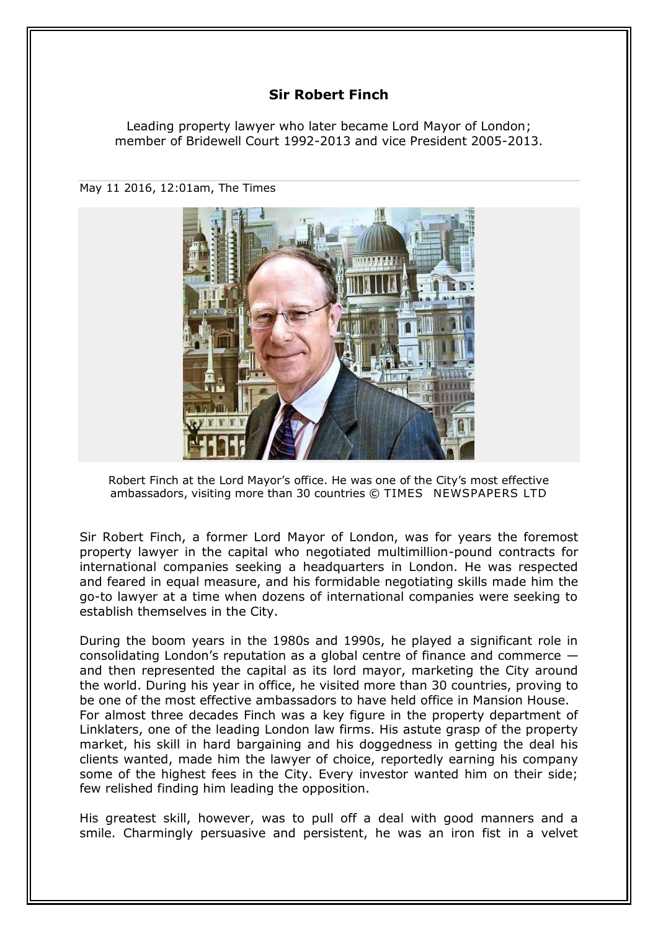## **Sir Robert Finch**

Leading property lawyer who later became Lord Mayor of London; member of Bridewell Court 1992-2013 and vice President 2005-2013.

May 11 2016, 12:01am, The Times



Robert Finch at the Lord Mayor's office. He was one of the City's most effective ambassadors, visiting more than 30 countries © TIMES NEWSPAPERS LTD

Sir Robert Finch, a former Lord Mayor of London, was for years the foremost property lawyer in the capital who negotiated multimillion-pound contracts for international companies seeking a headquarters in London. He was respected and feared in equal measure, and his formidable negotiating skills made him the go-to lawyer at a time when dozens of international companies were seeking to establish themselves in the City.

During the boom years in the 1980s and 1990s, he played a significant role in consolidating London's reputation as a global centre of finance and commerce and then represented the capital as its lord mayor, marketing the City around the world. During his year in office, he visited more than 30 countries, proving to be one of the most effective ambassadors to have held office in Mansion House. For almost three decades Finch was a key figure in the property department of Linklaters, one of the leading London law firms. His astute grasp of the property market, his skill in hard bargaining and his doggedness in getting the deal his clients wanted, made him the lawyer of choice, reportedly earning his company some of the highest fees in the City. Every investor wanted him on their side; few relished finding him leading the opposition.

His greatest skill, however, was to pull off a deal with good manners and a smile. Charmingly persuasive and persistent, he was an iron fist in a velvet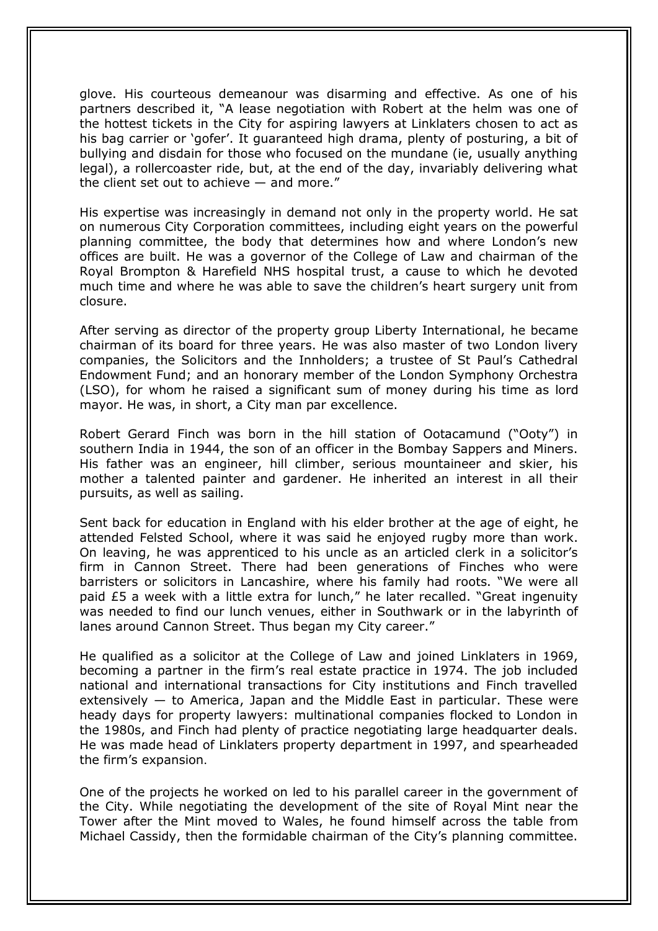glove. His courteous demeanour was disarming and effective. As one of his partners described it, "A lease negotiation with Robert at the helm was one of the hottest tickets in the City for aspiring lawyers at Linklaters chosen to act as his bag carrier or 'gofer'. It guaranteed high drama, plenty of posturing, a bit of bullying and disdain for those who focused on the mundane (ie, usually anything legal), a rollercoaster ride, but, at the end of the day, invariably delivering what the client set out to achieve — and more."

His expertise was increasingly in demand not only in the property world. He sat on numerous City Corporation committees, including eight years on the powerful planning committee, the body that determines how and where London's new offices are built. He was a governor of the College of Law and chairman of the Royal Brompton & Harefield NHS hospital trust, a cause to which he devoted much time and where he was able to save the children's heart surgery unit from closure.

After serving as director of the property group Liberty International, he became chairman of its board for three years. He was also master of two London livery companies, the Solicitors and the Innholders; a trustee of St Paul's Cathedral Endowment Fund; and an honorary member of the London Symphony Orchestra (LSO), for whom he raised a significant sum of money during his time as lord mayor. He was, in short, a City man par excellence.

Robert Gerard Finch was born in the hill station of Ootacamund ("Ooty") in southern India in 1944, the son of an officer in the Bombay Sappers and Miners. His father was an engineer, hill climber, serious mountaineer and skier, his mother a talented painter and gardener. He inherited an interest in all their pursuits, as well as sailing.

Sent back for education in England with his elder brother at the age of eight, he attended Felsted School, where it was said he enjoyed rugby more than work. On leaving, he was apprenticed to his uncle as an articled clerk in a solicitor's firm in Cannon Street. There had been generations of Finches who were barristers or solicitors in Lancashire, where his family had roots. "We were all paid £5 a week with a little extra for lunch," he later recalled. "Great ingenuity was needed to find our lunch venues, either in Southwark or in the labyrinth of lanes around Cannon Street. Thus began my City career."

He qualified as a solicitor at the College of Law and joined Linklaters in 1969, becoming a partner in the firm's real estate practice in 1974. The job included national and international transactions for City institutions and Finch travelled extensively  $-$  to America, Japan and the Middle East in particular. These were heady days for property lawyers: multinational companies flocked to London in the 1980s, and Finch had plenty of practice negotiating large headquarter deals. He was made head of Linklaters property department in 1997, and spearheaded the firm's expansion.

One of the projects he worked on led to his parallel career in the government of the City. While negotiating the development of the site of Royal Mint near the Tower after the Mint moved to Wales, he found himself across the table from Michael Cassidy, then the formidable chairman of the City's planning committee.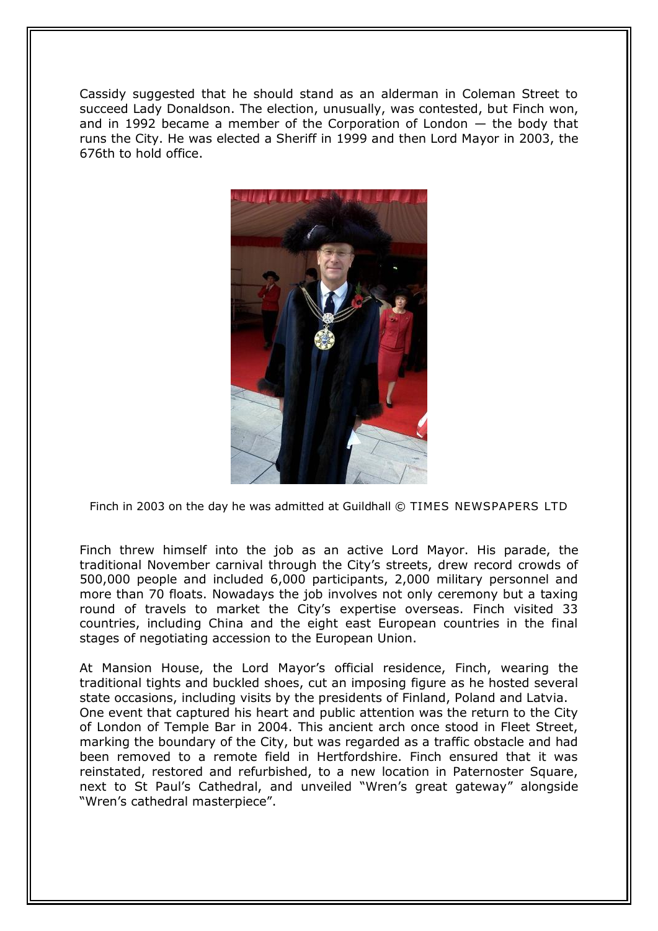Cassidy suggested that he should stand as an alderman in Coleman Street to succeed Lady Donaldson. The election, unusually, was contested, but Finch won, and in 1992 became a member of the Corporation of London — the body that runs the City. He was elected a Sheriff in 1999 and then Lord Mayor in 2003, the 676th to hold office.



Finch in 2003 on the day he was admitted at Guildhall © TIMES NEWSPAPERS LTD

Finch threw himself into the job as an active Lord Mayor. His parade, the traditional November carnival through the City's streets, drew record crowds of 500,000 people and included 6,000 participants, 2,000 military personnel and more than 70 floats. Nowadays the job involves not only ceremony but a taxing round of travels to market the City's expertise overseas. Finch visited 33 countries, including China and the eight east European countries in the final stages of negotiating accession to the European Union.

At Mansion House, the Lord Mayor's official residence, Finch, wearing the traditional tights and buckled shoes, cut an imposing figure as he hosted several state occasions, including visits by the presidents of Finland, Poland and Latvia. One event that captured his heart and public attention was the return to the City of London of Temple Bar in 2004. This ancient arch once stood in Fleet Street, marking the boundary of the City, but was regarded as a traffic obstacle and had been removed to a remote field in Hertfordshire. Finch ensured that it was reinstated, restored and refurbished, to a new location in Paternoster Square, next to St Paul's Cathedral, and unveiled "Wren's great gateway" alongside "Wren's cathedral masterpiece".